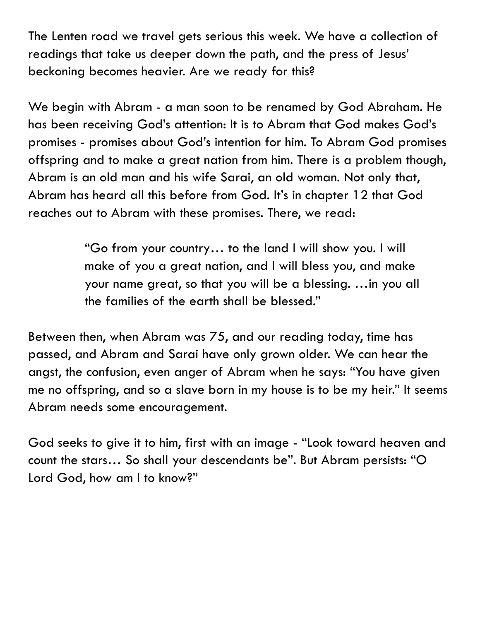The Lenten road we travel gets serious this week. We have a collection of readings that take us deeper down the path, and the press of Jesus' beckoning becomes heavier. Are we ready for this?

We begin with Abram - a man soon to be renamed by God Abraham. He has been receiving God's attention: It is to Abram that God makes God's promises - promises about God's intention for him. To Abram God promises offspring and to make a great nation from him. There is a problem though, Abram is an old man and his wife Sarai, an old woman. Not only that, Abram has heard all this before from God. It's in chapter 12 that God reaches out to Abram with these promises. There, we read:

> "Go from your country… to the land I will show you. I will make of you a great nation, and I will bless you, and make your name great, so that you will be a blessing. …in you all the families of the earth shall be blessed."

Between then, when Abram was 75, and our reading today, time has passed, and Abram and Sarai have only grown older. We can hear the angst, the confusion, even anger of Abram when he says: "You have given me no offspring, and so a slave born in my house is to be my heir." It seems Abram needs some encouragement.

God seeks to give it to him, first with an image - "Look toward heaven and count the stars… So shall your descendants be". But Abram persists: "O Lord God, how am I to know?"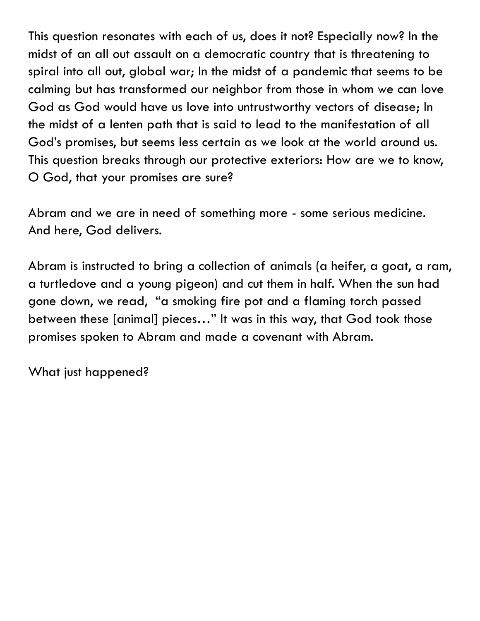This question resonates with each of us, does it not? Especially now? In the midst of an all out assault on a democratic country that is threatening to spiral into all out, global war; In the midst of a pandemic that seems to be calming but has transformed our neighbor from those in whom we can love God as God would have us love into untrustworthy vectors of disease; In the midst of a lenten path that is said to lead to the manifestation of all God's promises, but seems less certain as we look at the world around us. This question breaks through our protective exteriors: How are we to know, O God, that your promises are sure?

Abram and we are in need of something more - some serious medicine. And here, God delivers.

Abram is instructed to bring a collection of animals (a heifer, a goat, a ram, a turtledove and a young pigeon) and cut them in half. When the sun had gone down, we read, "a smoking fire pot and a flaming torch passed between these [animal] pieces…" It was in this way, that God took those promises spoken to Abram and made a covenant with Abram.

What just happened?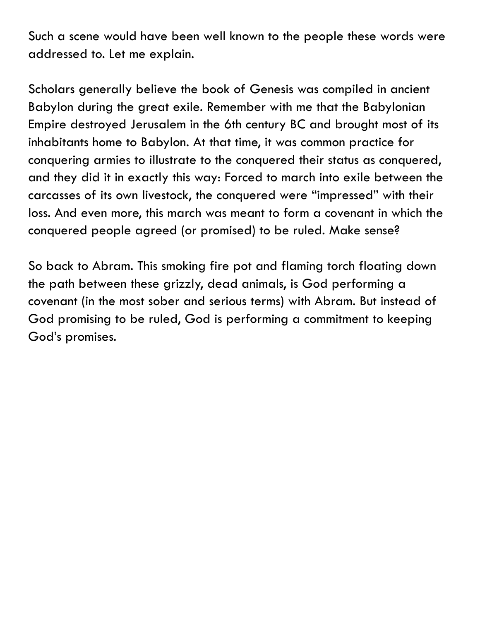Such a scene would have been well known to the people these words were addressed to. Let me explain.

Scholars generally believe the book of Genesis was compiled in ancient Babylon during the great exile. Remember with me that the Babylonian Empire destroyed Jerusalem in the 6th century BC and brought most of its inhabitants home to Babylon. At that time, it was common practice for conquering armies to illustrate to the conquered their status as conquered, and they did it in exactly this way: Forced to march into exile between the carcasses of its own livestock, the conquered were "impressed" with their loss. And even more, this march was meant to form a covenant in which the conquered people agreed (or promised) to be ruled. Make sense?

So back to Abram. This smoking fire pot and flaming torch floating down the path between these grizzly, dead animals, is God performing a covenant (in the most sober and serious terms) with Abram. But instead of God promising to be ruled, God is performing a commitment to keeping God's promises.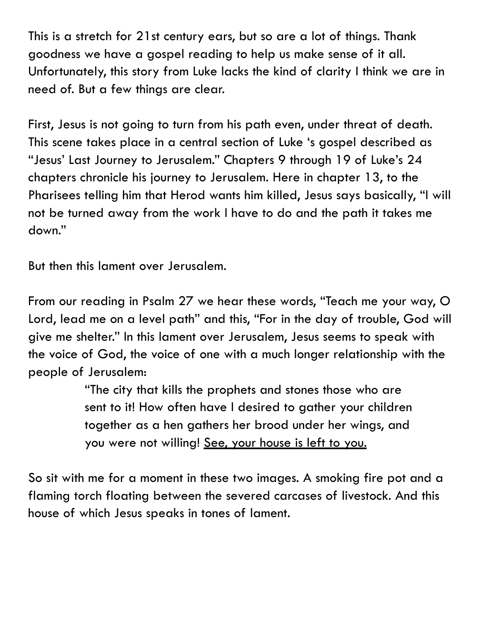This is a stretch for 21st century ears, but so are a lot of things. Thank goodness we have a gospel reading to help us make sense of it all. Unfortunately, this story from Luke lacks the kind of clarity I think we are in need of. But a few things are clear.

First, Jesus is not going to turn from his path even, under threat of death. This scene takes place in a central section of Luke 's gospel described as "Jesus' Last Journey to Jerusalem." Chapters 9 through 19 of Luke's 24 chapters chronicle his journey to Jerusalem. Here in chapter 13, to the Pharisees telling him that Herod wants him killed, Jesus says basically, "I will not be turned away from the work I have to do and the path it takes me down."

But then this lament over Jerusalem.

From our reading in Psalm 27 we hear these words, "Teach me your way, O Lord, lead me on a level path" and this, "For in the day of trouble, God will give me shelter." In this lament over Jerusalem, Jesus seems to speak with the voice of God, the voice of one with a much longer relationship with the people of Jerusalem:

> "The city that kills the prophets and stones those who are sent to it! How often have I desired to gather your children together as a hen gathers her brood under her wings, and you were not willing! See, your house is left to you.

So sit with me for a moment in these two images. A smoking fire pot and a flaming torch floating between the severed carcases of livestock. And this house of which Jesus speaks in tones of lament.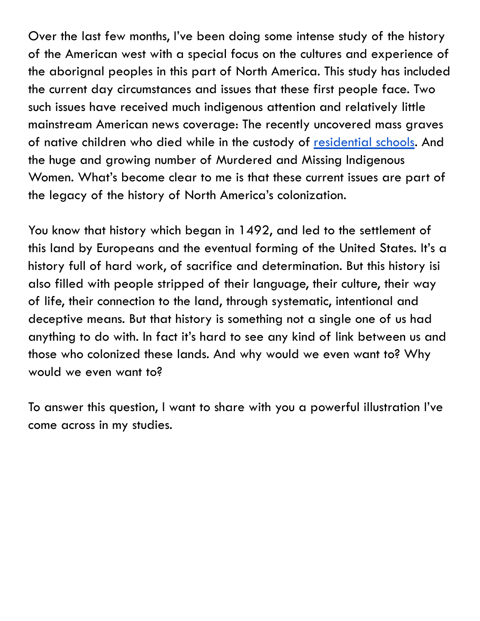Over the last few months, I've been doing some intense study of the history of the American west with a special focus on the cultures and experience of the aborignal peoples in this part of North America. This study has included the current day circumstances and issues that these first people face. Two such issues have received much indigenous attention and relatively little mainstream American news coverage: The recently uncovered mass graves of native children who died while in the custody of [residential schools](https://indigenouspeoplesatlasofcanada.ca/article/history-of-residential-schools/). And the huge and growing number of Murdered and Missing Indigenous Women. What's become clear to me is that these current issues are part of the legacy of the history of North America's colonization.

You know that history which began in 1492, and led to the settlement of this land by Europeans and the eventual forming of the United States. It's a history full of hard work, of sacrifice and determination. But this history isi also filled with people stripped of their language, their culture, their way of life, their connection to the land, through systematic, intentional and deceptive means. But that history is something not a single one of us had anything to do with. In fact it's hard to see any kind of link between us and those who colonized these lands. And why would we even want to? Why would we even want to?

To answer this question, I want to share with you a powerful illustration I've come across in my studies.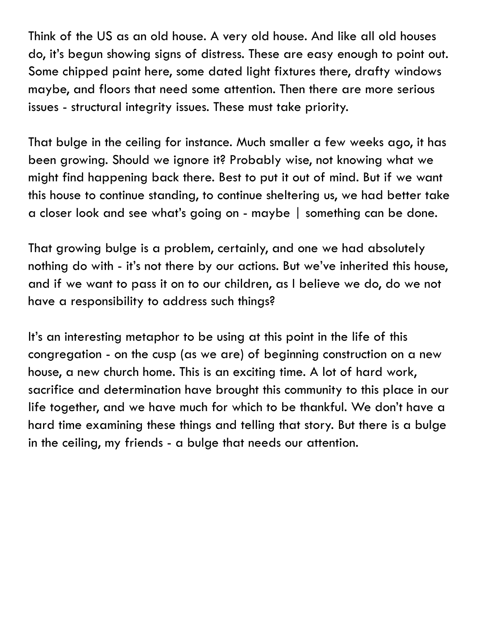Think of the US as an old house. A very old house. And like all old houses do, it's begun showing signs of distress. These are easy enough to point out. Some chipped paint here, some dated light fixtures there, drafty windows maybe, and floors that need some attention. Then there are more serious issues - structural integrity issues. These must take priority.

That bulge in the ceiling for instance. Much smaller a few weeks ago, it has been growing. Should we ignore it? Probably wise, not knowing what we might find happening back there. Best to put it out of mind. But if we want this house to continue standing, to continue sheltering us, we had better take a closer look and see what's going on - maybe | something can be done.

That growing bulge is a problem, certainly, and one we had absolutely nothing do with - it's not there by our actions. But we've inherited this house, and if we want to pass it on to our children, as I believe we do, do we not have a responsibility to address such things?

It's an interesting metaphor to be using at this point in the life of this congregation - on the cusp (as we are) of beginning construction on a new house, a new church home. This is an exciting time. A lot of hard work, sacrifice and determination have brought this community to this place in our life together, and we have much for which to be thankful. We don't have a hard time examining these things and telling that story. But there is a bulge in the ceiling, my friends - a bulge that needs our attention.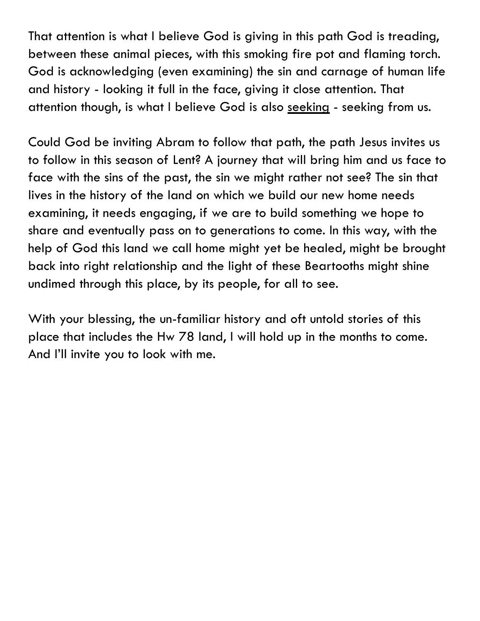That attention is what I believe God is giving in this path God is treading, between these animal pieces, with this smoking fire pot and flaming torch. God is acknowledging (even examining) the sin and carnage of human life and history - looking it full in the face, giving it close attention. That attention though, is what I believe God is also seeking - seeking from us.

Could God be inviting Abram to follow that path, the path Jesus invites us to follow in this season of Lent? A journey that will bring him and us face to face with the sins of the past, the sin we might rather not see? The sin that lives in the history of the land on which we build our new home needs examining, it needs engaging, if we are to build something we hope to share and eventually pass on to generations to come. In this way, with the help of God this land we call home might yet be healed, might be brought back into right relationship and the light of these Beartooths might shine undimed through this place, by its people, for all to see.

With your blessing, the un-familiar history and oft untold stories of this place that includes the Hw 78 land, I will hold up in the months to come. And I'll invite you to look with me.